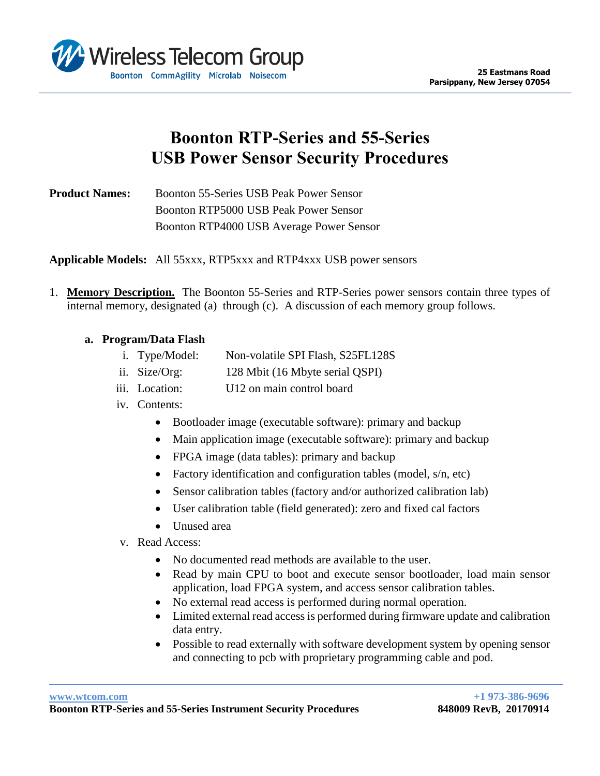

## **Boonton RTP-Series and 55-Series USB Power Sensor Security Procedures**

**Product Names:** Boonton 55-Series USB Peak Power Sensor Boonton RTP5000 USB Peak Power Sensor Boonton RTP4000 USB Average Power Sensor

**Applicable Models:** All 55xxx, RTP5xxx and RTP4xxx USB power sensors

1. **Memory Description.** The Boonton 55-Series and RTP-Series power sensors contain three types of internal memory, designated (a) through (c). A discussion of each memory group follows.

## **a. Program/Data Flash**

- i. Type/Model: Non-volatile SPI Flash, S25FL128S
- ii. Size/Org: 128 Mbit (16 Mbyte serial QSPI)
- iii. Location: U12 on main control board
- iv. Contents:
	- Bootloader image (executable software): primary and backup
	- Main application image (executable software): primary and backup
	- FPGA image (data tables): primary and backup
	- Factory identification and configuration tables (model, s/n, etc)
	- Sensor calibration tables (factory and/or authorized calibration lab)
	- User calibration table (field generated): zero and fixed cal factors
	- Unused area
- v. Read Access:
	- No documented read methods are available to the user.
	- Read by main CPU to boot and execute sensor bootloader, load main sensor application, load FPGA system, and access sensor calibration tables.
	- No external read access is performed during normal operation.
	- Limited external read access is performed during firmware update and calibration data entry.
	- Possible to read externally with software development system by opening sensor and connecting to pcb with proprietary programming cable and pod.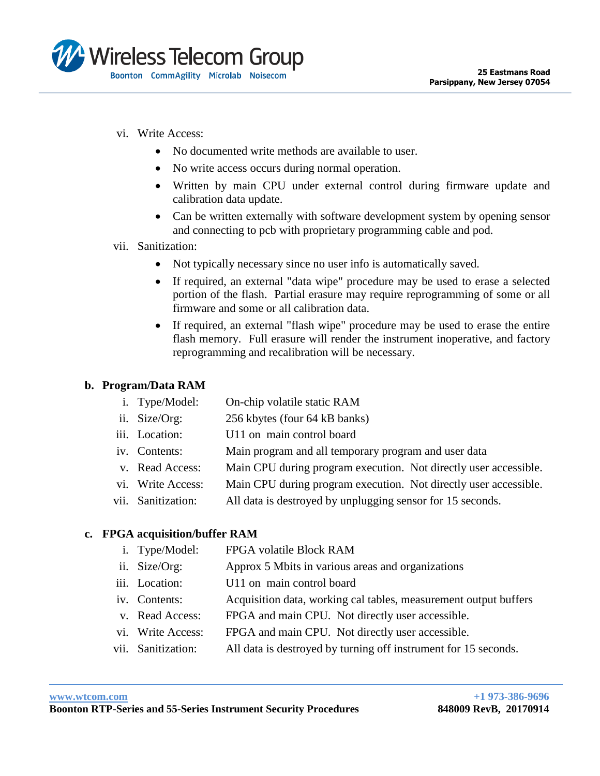

- vi. Write Access:
	- No documented write methods are available to user.
	- No write access occurs during normal operation.
	- Written by main CPU under external control during firmware update and calibration data update.
	- Can be written externally with software development system by opening sensor and connecting to pcb with proprietary programming cable and pod.
- vii. Sanitization:
	- Not typically necessary since no user info is automatically saved.
	- If required, an external "data wipe" procedure may be used to erase a selected portion of the flash. Partial erasure may require reprogramming of some or all firmware and some or all calibration data.
	- If required, an external "flash wipe" procedure may be used to erase the entire flash memory. Full erasure will render the instrument inoperative, and factory reprogramming and recalibration will be necessary.

## **b. Program/Data RAM**

- i. Type/Model: On-chip volatile static RAM
- ii. Size/Org: 256 kbytes (four 64 kB banks)
- iii. Location: U11 on main control board
- iv. Contents: Main program and all temporary program and user data
- v. Read Access: Main CPU during program execution. Not directly user accessible.
- vi. Write Access: Main CPU during program execution. Not directly user accessible.
- vii. Sanitization: All data is destroyed by unplugging sensor for 15 seconds.

## **c. FPGA acquisition/buffer RAM**

- i. Type/Model: FPGA volatile Block RAM
- ii. Size/Org: Approx 5 Mbits in various areas and organizations
- iii. Location: U11 on main control board
- iv. Contents: Acquisition data, working cal tables, measurement output buffers
- v. Read Access: FPGA and main CPU. Not directly user accessible.
- vi. Write Access: FPGA and main CPU. Not directly user accessible.
- vii. Sanitization: All data is destroyed by turning off instrument for 15 seconds.